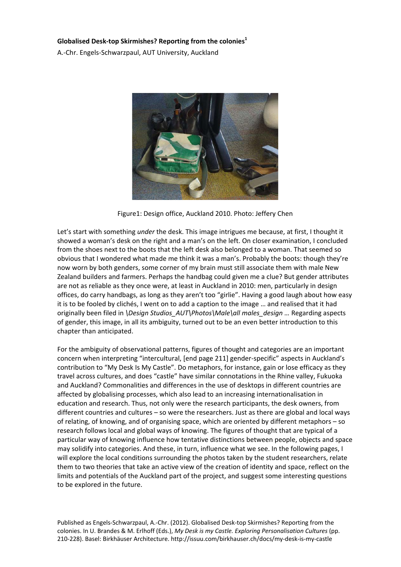# **Globalised Desk‐top Skirmishes? Reporting from the colonies<sup>1</sup>**

A.‐Chr. Engels‐Schwarzpaul, AUT University, Auckland



Figure1: Design office, Auckland 2010. Photo: Jeffery Chen

Let's start with something *under* the desk. This image intrigues me because, at first, I thought it showed a woman's desk on the right and a man's on the left. On closer examination, I concluded from the shoes next to the boots that the left desk also belonged to a woman. That seemed so obvious that I wondered what made me think it was a man's. Probably the boots: though they're now worn by both genders, some corner of my brain must still associate them with male New Zealand builders and farmers. Perhaps the handbag could given me a clue? But gender attributes are not as reliable as they once were, at least in Auckland in 2010: men, particularly in design offices, do carry handbags, as long as they aren't too "girlie". Having a good laugh about how easy it is to be fooled by clichés, I went on to add a caption to the image … and realised that it had originally been filed in *\Design Studios\_AUT\Photos\Male\all males\_design …* Regarding aspects of gender, this image, in all its ambiguity, turned out to be an even better introduction to this chapter than anticipated.

For the ambiguity of observational patterns, figures of thought and categories are an important concern when interpreting "intercultural, [end page 211] gender‐specific" aspects in Auckland's contribution to "My Desk Is My Castle". Do metaphors, for instance, gain or lose efficacy as they travel across cultures, and does "castle" have similar connotations in the Rhine valley, Fukuoka and Auckland? Commonalities and differences in the use of desktops in different countries are affected by globalising processes, which also lead to an increasing internationalisation in education and research. Thus, not only were the research participants, the desk owners, from different countries and cultures – so were the researchers. Just as there are global and local ways of relating, of knowing, and of organising space, which are oriented by different metaphors – so research follows local and global ways of knowing. The figures of thought that are typical of a particular way of knowing influence how tentative distinctions between people, objects and space may solidify into categories. And these, in turn, influence what we see. In the following pages, I will explore the local conditions surrounding the photos taken by the student researchers, relate them to two theories that take an active view of the creation of identity and space, reflect on the limits and potentials of the Auckland part of the project, and suggest some interesting questions to be explored in the future.

Published as Engels‐Schwarzpaul, A.‐Chr. (2012). Globalised Desk‐top Skirmishes? Reporting from the colonies. In U. Brandes & M. Erlhoff (Eds.), *My Desk is my Castle. Exploring Personalisation Cultures* (pp. 210‐228). Basel: Birkhäuser Architecture. http://issuu.com/birkhauser.ch/docs/my‐desk‐is‐my‐castle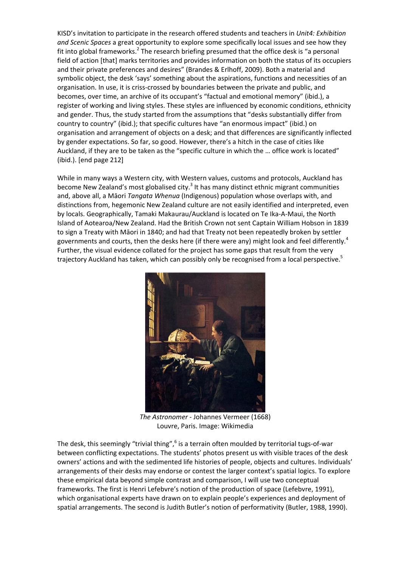KISD's invitation to participate in the research offered students and teachers in *Unit4: Exhibition and Scenic Spaces* a great opportunity to explore some specifically local issues and see how they fit into global frameworks.<sup>2</sup> The research briefing presumed that the office desk is "a personal field of action [that] marks territories and provides information on both the status of its occupiers and their private preferences and desires" (Brandes & Erlhoff, 2009). Both a material and symbolic object, the desk 'says' something about the aspirations, functions and necessities of an organisation. In use, it is criss‐crossed by boundaries between the private and public, and becomes, over time, an archive of its occupant's "factual and emotional memory" (ibid.), a register of working and living styles. These styles are influenced by economic conditions, ethnicity and gender. Thus, the study started from the assumptions that "desks substantially differ from country to country" (ibid.); that specific cultures have "an enormous impact" (ibid.) on organisation and arrangement of objects on a desk; and that differences are significantly inflected by gender expectations. So far, so good. However, there's a hitch in the case of cities like Auckland, if they are to be taken as the "specific culture in which the … office work is located" (ibid.). [end page 212]

While in many ways a Western city, with Western values, customs and protocols, Auckland has become New Zealand's most globalised city. $3$  It has many distinct ethnic migrant communities and, above all, a Māori *Tangata Whenua* (Indigenous) population whose overlaps with, and distinctions from, hegemonic New Zealand culture are not easily identified and interpreted, even by locals. Geographically, Tamaki Makaurau/Auckland is located on Te Ika‐A‐Maui, the North Island of Aotearoa/New Zealand. Had the British Crown not sent Captain William Hobson in 1839 to sign a Treaty with Māori in 1840; and had that Treaty not been repeatedly broken by settler governments and courts, then the desks here (if there were any) might look and feel differently.<sup>4</sup> Further, the visual evidence collated for the project has some gaps that result from the very trajectory Auckland has taken, which can possibly only be recognised from a local perspective.<sup>5</sup>



*The Astronomer* ‐ Johannes Vermeer (1668) Louvre, Paris. Image: Wikimedia

The desk, this seemingly "trivial thing", $6$  is a terrain often moulded by territorial tugs-of-war between conflicting expectations. The students' photos present us with visible traces of the desk owners' actions and with the sedimented life histories of people, objects and cultures. Individuals' arrangements of their desks may endorse or contest the larger context's spatial logics. To explore these empirical data beyond simple contrast and comparison, I will use two conceptual frameworks. The first is Henri Lefebvre's notion of the production of space (Lefebvre, 1991), which organisational experts have drawn on to explain people's experiences and deployment of spatial arrangements. The second is Judith Butler's notion of performativity (Butler, 1988, 1990).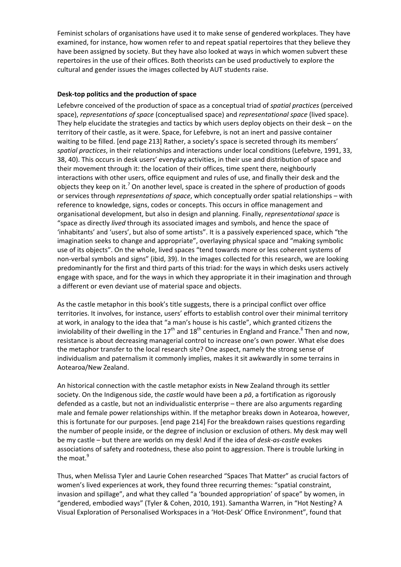Feminist scholars of organisations have used it to make sense of gendered workplaces. They have examined, for instance, how women refer to and repeat spatial repertoires that they believe they have been assigned by society. But they have also looked at ways in which women subvert these repertoires in the use of their offices. Both theorists can be used productively to explore the cultural and gender issues the images collected by AUT students raise.

# **Desk‐top politics and the production of space**

Lefebvre conceived of the production of space as a conceptual triad of *spatial practices* (perceived space), *representations of space* (conceptualised space) and *representational space* (lived space). They help elucidate the strategies and tactics by which users deploy objects on their desk – on the territory of their castle, as it were. Space, for Lefebvre, is not an inert and passive container waiting to be filled. [end page 213] Rather, a society's space is secreted through its members' *spatial practices*, in their relationships and interactions under local conditions (Lefebvre, 1991, 33, 38, 40). This occurs in desk users' everyday activities, in their use and distribution of space and their movement through it: the location of their offices, time spent there, neighbourly interactions with other users, office equipment and rules of use, and finally their desk and the objects they keep on it.<sup>7</sup> On another level, space is created in the sphere of production of goods or services through *representations of space*, which conceptually order spatial relationships – with reference to knowledge, signs, codes or concepts. This occurs in office management and organisational development, but also in design and planning. Finally, *representational space* is "space as directly *lived* through its associated images and symbols, and hence the space of 'inhabitants' and 'users', but also of some artists". It is a passively experienced space, which "the imagination seeks to change and appropriate", overlaying physical space and "making symbolic use of its objects". On the whole, lived spaces "tend towards more or less coherent systems of non‐verbal symbols and signs" (ibid, 39). In the images collected for this research, we are looking predominantly for the first and third parts of this triad: for the ways in which desks users actively engage with space, and for the ways in which they appropriate it in their imagination and through a different or even deviant use of material space and objects.

As the castle metaphor in this book's title suggests, there is a principal conflict over office territories. It involves, for instance, users' efforts to establish control over their minimal territory at work, in analogy to the idea that "a man's house is his castle", which granted citizens the inviolability of their dwelling in the  $17<sup>th</sup>$  and  $18<sup>th</sup>$  centuries in England and France.<sup>8</sup> Then and now, resistance is about decreasing managerial control to increase one's own power. What else does the metaphor transfer to the local research site? One aspect, namely the strong sense of individualism and paternalism it commonly implies, makes it sit awkwardly in some terrains in Aotearoa/New Zealand.

An historical connection with the castle metaphor exists in New Zealand through its settler society. On the Indigenous side, the *castle* would have been a *pā*, a fortification as rigorously defended as a castle, but not an individualistic enterprise – there are also arguments regarding male and female power relationships within. If the metaphor breaks down in Aotearoa, however, this is fortunate for our purposes. [end page 214] For the breakdown raises questions regarding the number of people inside, or the degree of inclusion or exclusion of others. My desk may well be my castle – but there are worlds on my desk! And if the idea of *desk‐as‐castle* evokes associations of safety and rootedness, these also point to aggression. There is trouble lurking in the moat. $9$ 

Thus, when Melissa Tyler and Laurie Cohen researched "Spaces That Matter" as crucial factors of women's lived experiences at work, they found three recurring themes: "spatial constraint, invasion and spillage", and what they called "a 'bounded appropriation' of space" by women, in "gendered, embodied ways" (Tyler & Cohen, 2010, 191). Samantha Warren, in "Hot Nesting? A Visual Exploration of Personalised Workspaces in a 'Hot‐Desk' Office Environment", found that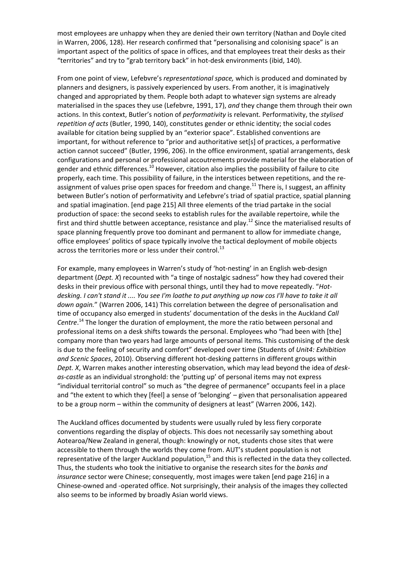most employees are unhappy when they are denied their own territory (Nathan and Doyle cited in Warren, 2006, 128). Her research confirmed that "personalising and colonising space" is an important aspect of the politics of space in offices, and that employees treat their desks as their "territories" and try to "grab territory back" in hot‐desk environments (ibid, 140).

From one point of view, Lefebvre's *representational space,* which is produced and dominated by planners and designers, is passively experienced by users. From another, it is imaginatively changed and appropriated by them. People both adapt to whatever sign systems are already materialised in the spaces they use (Lefebvre, 1991, 17), *and* they change them through their own actions. In this context, Butler's notion of *performativity* is relevant. Performativity, the *stylised repetition of acts* (Butler, 1990, 140), constitutes gender or ethnic identity; the social codes available for citation being supplied by an "exterior space". Established conventions are important, for without reference to "prior and authoritative set[s] of practices, a performative action cannot succeed" (Butler, 1996, 206). In the office environment, spatial arrangements, desk configurations and personal or professional accoutrements provide material for the elaboration of gender and ethnic differences.<sup>10</sup> However, citation also implies the possibility of failure to cite properly, each time. This possibility of failure, in the interstices between repetitions, and the re‐ assignment of values prise open spaces for freedom and change.<sup>11</sup> There is, I suggest, an affinity between Butler's notion of performativity and Lefebvre's triad of spatial practice, spatial planning and spatial imagination. [end page 215] All three elements of the triad partake in the social production of space: the second seeks to establish rules for the available repertoire, while the first and third shuttle between acceptance, resistance and play.<sup>12</sup> Since the materialised results of space planning frequently prove too dominant and permanent to allow for immediate change, office employees' politics of space typically involve the tactical deployment of mobile objects across the territories more or less under their control.<sup>13</sup>

For example, many employees in Warren's study of 'hot-nesting' in an English web-design department (*Dept. X*) recounted with "a tinge of nostalgic sadness" how they had covered their desks in their previous office with personal things, until they had to move repeatedly. "*Hot‐* desking. I can't stand it .... You see I'm loathe to put anything up now cos I'll have to take it all *down again.*" (Warren 2006, 141) This correlation between the degree of personalisation and time of occupancy also emerged in students' documentation of the desks in the Auckland *Call Centre*. <sup>14</sup> The longer the duration of employment, the more the ratio between personal and professional items on a desk shifts towards the personal. Employees who "had been with [the] company more than two years had large amounts of personal items. This customising of the desk is due to the feeling of security and comfort" developed over time (Students of *Unit4: Exhibition and Scenic Spaces*, 2010). Observing different hot‐desking patterns in different groups within *Dept. X*, Warren makes another interesting observation, which may lead beyond the idea of *desk‐ as‐castle* as an individual stronghold: the 'putting up' of personal items may not express "individual territorial control" so much as "the degree of permanence" occupants feel in a place and "the extent to which they [feel] a sense of 'belonging' – given that personalisation appeared to be a group norm – within the community of designers at least" (Warren 2006, 142).

The Auckland offices documented by students were usually ruled by less fiery corporate conventions regarding the display of objects. This does not necessarily say something about Aotearoa/New Zealand in general, though: knowingly or not, students chose sites that were accessible to them through the worlds they come from. AUT's student population is not representative of the larger Auckland population,  $15$  and this is reflected in the data they collected. Thus, the students who took the initiative to organise the research sites for the *banks and insurance* sector were Chinese; consequently, most images were taken [end page 216] in a Chinese‐owned and ‐operated office. Not surprisingly, their analysis of the images they collected also seems to be informed by broadly Asian world views.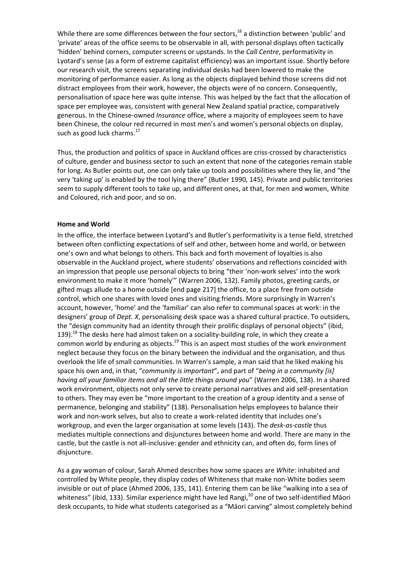While there are some differences between the four sectors,  $16$  a distinction between 'public' and 'private' areas of the office seems to be observable in all, with personal displays often tactically 'hidden' behind corners, computer screens or upstands. In the *Call Centre*, performativity in Lyotard's sense (as a form of extreme capitalist efficiency) was an important issue. Shortly before our research visit, the screens separating individual desks had been lowered to make the monitoring of performance easier. As long as the objects displayed behind those screens did not distract employees from their work, however, the objects were of no concern. Consequently, personalisation of space here was quite intense. This was helped by the fact that the allocation of space per employee was, consistent with general New Zealand spatial practice, comparatively generous. In the Chinese‐owned *Insurance* office, where a majority of employees seem to have been Chinese, the colour red recurred in most men's and women's personal objects on display, such as good luck charms.<sup>17</sup>

Thus, the production and politics of space in Auckland offices are criss‐crossed by characteristics of culture, gender and business sector to such an extent that none of the categories remain stable for long. As Butler points out, one can only take up tools and possibilities where they lie, and "the very 'taking up' is enabled by the tool lying there" (Butler 1990, 145). Private and public territories seem to supply different tools to take up, and different ones, at that, for men and women, White and Coloured, rich and poor, and so on.

### **Home and World**

In the office, the interface between Lyotard's and Butler's performativity is a tense field, stretched between often conflicting expectations of self and other, between home and world, or between one's own and what belongs to others. This back and forth movement of loyalties is also observable in the Auckland project, where students' observations and reflections coincided with an impression that people use personal objects to bring "their 'non-work selves' into the work environment to make it more 'homely'" (Warren 2006, 132). Family photos, greeting cards, or gifted mugs allude to a home outside [end page 217] the office, to a place free from outside control, which one shares with loved ones and visiting friends. More surprisingly in Warren's account, however, 'home' and the 'familiar' can also refer to communal spaces at work: in the designers' group of *Dept. X*, personalising desk space was a shared cultural practice. To outsiders, the "design community had an identity through their prolific displays of personal objects" (ibid, 139).<sup>18</sup> The desks here had almost taken on a sociality-building role, in which they create a common world by enduring as objects.<sup>19</sup> This is an aspect most studies of the work environment neglect because they focus on the binary between the individual and the organisation, and thus overlook the life of small communities. In Warren's sample, a man said that he liked making his space his own and, in that, "*community is important*", and part of "*being in a community [is] having all your familiar items and all the little things around you*" (Warren 2006, 138). In a shared work environment, objects not only serve to create personal narratives and aid self‐presentation to others. They may even be "more important to the creation of a group identity and a sense of permanence, belonging and stability" (138). Personalisation helps employees to balance their work and non-work selves, but also to create a work-related identity that includes one's workgroup, and even the larger organisation at some levels (143). The *desk‐as‐castle* thus mediates multiple connections and disjunctures between home and world. There are many in the castle, but the castle is not all‐inclusive: gender and ethnicity can, and often do, form lines of disjuncture.

As a gay woman of colour, Sarah Ahmed describes how some spaces are *White*: inhabited and controlled by White people, they display codes of Whiteness that make non‐White bodies seem invisible or out of place (Ahmed 2006, 135, 141). Entering them can be like "walking into a sea of whiteness" (ibid, 133). Similar experience might have led Rangi,<sup>20</sup> one of two self-identified Māori desk occupants, to hide what students categorised as a "Māori carving" almost completely behind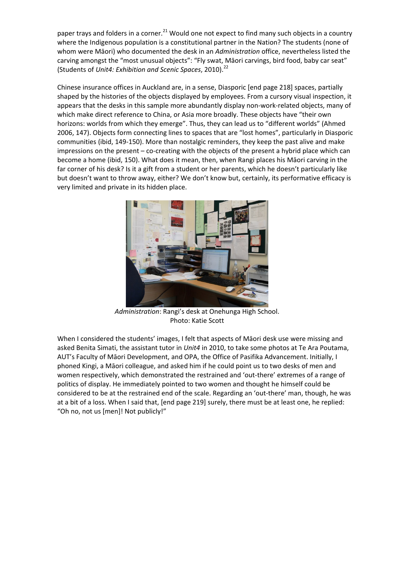paper trays and folders in a corner.<sup>21</sup> Would one not expect to find many such objects in a country where the Indigenous population is a constitutional partner in the Nation? The students (none of whom were Māori) who documented the desk in an *Administration* office, nevertheless listed the carving amongst the "most unusual objects": "Fly swat, Māori carvings, bird food, baby car seat" (Students of *Unit4: Exhibition and Scenic Spaces*, 2010).<sup>22</sup>

Chinese insurance offices in Auckland are, in a sense, Diasporic [end page 218] spaces, partially shaped by the histories of the objects displayed by employees. From a cursory visual inspection, it appears that the desks in this sample more abundantly display non‐work‐related objects, many of which make direct reference to China, or Asia more broadly. These objects have "their own horizons: worlds from which they emerge". Thus, they can lead us to "different worlds" (Ahmed 2006, 147). Objects form connecting lines to spaces that are "lost homes", particularly in Diasporic communities (ibid, 149‐150). More than nostalgic reminders, they keep the past alive and make impressions on the present – co-creating with the objects of the present a hybrid place which can become a home (ibid, 150). What does it mean, then, when Rangi places his Māori carving in the far corner of his desk? Is it a gift from a student or her parents, which he doesn't particularly like but doesn't want to throw away, either? We don't know but, certainly, its performative efficacy is very limited and private in its hidden place.



*Administration*: Rangi's desk at Onehunga High School. Photo: Katie Scott

When I considered the students' images, I felt that aspects of Māori desk use were missing and asked Benita Simati, the assistant tutor in *Unit4* in 2010, to take some photos at Te Ara Poutama, AUT's Faculty of Māori Development, and OPA, the Office of Pasifika Advancement. Initially, I phoned Kingi, a Māori colleague, and asked him if he could point us to two desks of men and women respectively, which demonstrated the restrained and 'out-there' extremes of a range of politics of display. He immediately pointed to two women and thought he himself could be considered to be at the restrained end of the scale. Regarding an 'out‐there' man, though, he was at a bit of a loss. When I said that, [end page 219] surely, there must be at least one, he replied: "Oh no, not us [men]! Not publicly!"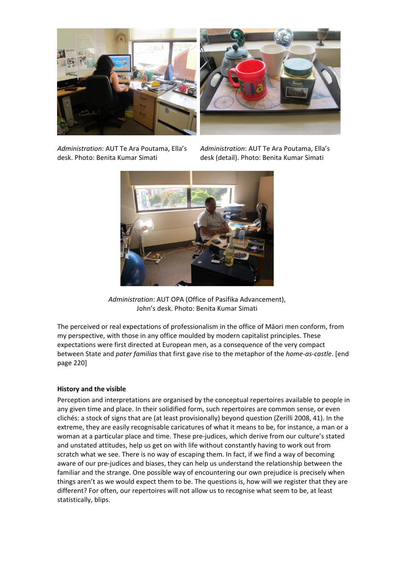



*Administration*: AUT Te Ara Poutama, Ella's desk. Photo: Benita Kumar Simati

*Administration*: AUT Te Ara Poutama, Ella's desk (detail). Photo: Benita Kumar Simati



*Administration*: AUT OPA (Office of Pasifika Advancement), John's desk. Photo: Benita Kumar Simati

The perceived or real expectations of professionalism in the office of Māori men conform, from my perspective, with those in any office moulded by modern capitalist principles. These expectations were first directed at European men, as a consequence of the very compact between State and *pater familias* that first gave rise to the metaphor of the *home‐as‐castle*. [end page 220]

# **History and the visible**

Perception and interpretations are organised by the conceptual repertoires available to people in any given time and place. In their solidified form, such repertoires are common sense, or even clichés: a stock of signs that are (at least provisionally) beyond question (Zerilli 2008, 41). In the extreme, they are easily recognisable caricatures of what it means to be, for instance, a man or a woman at a particular place and time. These pre‐judices, which derive from our culture's stated and unstated attitudes, help us get on with life without constantly having to work out from scratch what we see. There is no way of escaping them. In fact, if we find a way of becoming aware of our pre-judices and biases, they can help us understand the relationship between the familiar and the strange. One possible way of encountering our own prejudice is precisely when things aren't as we would expect them to be. The questions is, how will we register that they are different? For often, our repertoires will not allow us to recognise what seem to be, at least statistically, blips.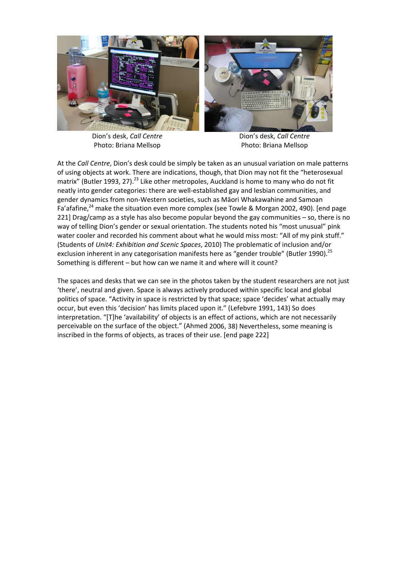

Dion's desk, *Call Centre* Photo: Briana Mellsop

Dion's desk, *Call Centre* Photo: Briana Mellsop

At the *Call Centre*, Dion's desk could be simply be taken as an unusual variation on male patterns of using objects at work. There are indications, though, that Dion may not fit the "heterosexual matrix" (Butler 1993, 27).<sup>23</sup> Like other metropoles, Auckland is home to many who do not fit neatly into gender categories: there are well‐established gay and lesbian communities, and gender dynamics from non‐Western societies, such as Māori Whakawahine and Samoan Fa'afafine,<sup>24</sup> make the situation even more complex (see Towle & Morgan 2002, 490). [end page 221] Drag/camp as a style has also become popular beyond the gay communities  $-$  so, there is no way of telling Dion's gender or sexual orientation. The students noted his "most unusual" pink water cooler and recorded his comment about what he would miss most: "All of my pink stuff." (Students of *Unit4: Exhibition and Scenic Spaces*, 2010) The problematic of inclusion and/or exclusion inherent in any categorisation manifests here as "gender trouble" (Butler 1990).<sup>25</sup> Something is different – but how can we name it and where will it count?

The spaces and desks that we can see in the photos taken by the student researchers are not just 'there', neutral and given. Space is always actively produced within specific local and global politics of space. "Activity in space is restricted by that space; space 'decides' what actually may occur, but even this 'decision' has limits placed upon it." (Lefebvre 1991, 143) So does interpretation. "[T]he 'availability' of objects is an effect of actions, which are not necessarily perceivable on the surface of the object." (Ahmed 2006, 38) Nevertheless, some meaning is inscribed in the forms of objects, as traces of their use. [end page 222]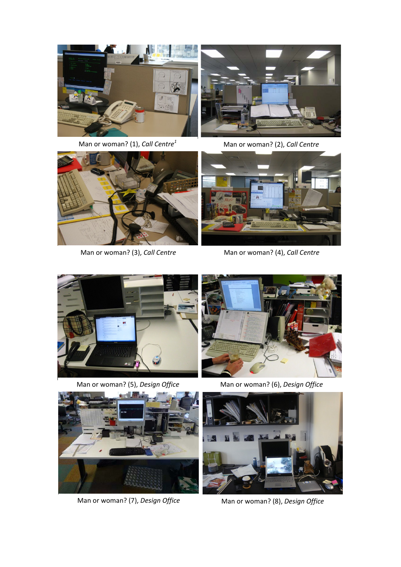

Man or woman? (1), *Call Centre*<sup>1</sup> Man or woman? (2), *Call Centre* 







Man or woman? (3), *Call Centre* Man or woman? (4), *Call Centre* 





Man or woman? (7), *Design Office*



Man or woman? (5), *Design Office* Man or woman? (6), *Design Office*



Man or woman? (8), *Design Office*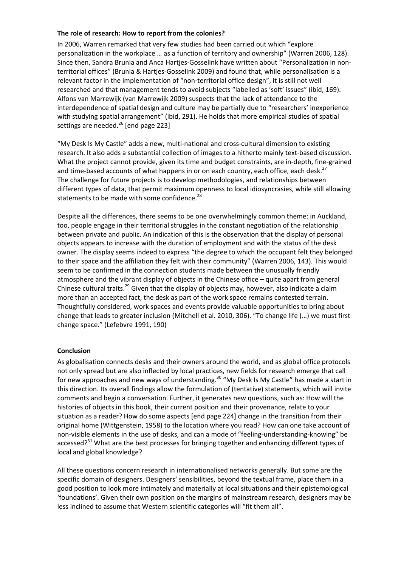## **The role of research: How to report from the colonies?**

In 2006, Warren remarked that very few studies had been carried out which "explore personalization in the workplace … as a function of territory and ownership" (Warren 2006, 128). Since then, Sandra Brunia and Anca Hartjes‐Gosselink have written about "Personalization in non‐ territorial offices" (Brunia & Hartjes‐Gosselink 2009) and found that, while personalisation is a relevant factor in the implementation of "non-territorial office design", it is still not well researched and that management tends to avoid subjects "labelled as 'soft' issues" (ibid, 169). Alfons van Marrewijk (van Marrewijk 2009) suspects that the lack of attendance to the interdependence of spatial design and culture may be partially due to "researchers' inexperience with studying spatial arrangement" (ibid, 291). He holds that more empirical studies of spatial settings are needed. $^{26}$  [end page 223]

"My Desk Is My Castle" adds a new, multi‐national and cross‐cultural dimension to existing research. It also adds a substantial collection of images to a hitherto mainly text-based discussion. What the project cannot provide, given its time and budget constraints, are in-depth, fine-grained and time-based accounts of what happens in or on each country, each office, each desk.<sup>27</sup> The challenge for future projects is to develop methodologies, and relationships between different types of data, that permit maximum openness to local idiosyncrasies, while still allowing statements to be made with some confidence. $^{28}$ 

Despite all the differences, there seems to be one overwhelmingly common theme: in Auckland, too, people engage in their territorial struggles in the constant negotiation of the relationship between private and public. An indication of this is the observation that the display of personal objects appears to increase with the duration of employment and with the status of the desk owner. The display seems indeed to express "the degree to which the occupant felt they belonged to their space and the affiliation they felt with their community" (Warren 2006, 143). This would seem to be confirmed in the connection students made between the unusually friendly atmosphere and the vibrant display of objects in the Chinese office – quite apart from general Chinese cultural traits.<sup>29</sup> Given that the display of objects may, however, also indicate a claim more than an accepted fact, the desk as part of the work space remains contested terrain. Thoughtfully considered, work spaces and events provide valuable opportunities to bring about change that leads to greater inclusion (Mitchell et al. 2010, 306). "To change life (…) we must first change space." (Lefebvre 1991, 190)

## **Conclusion**

As globalisation connects desks and their owners around the world, and as global office protocols not only spread but are also inflected by local practices, new fields for research emerge that call for new approaches and new ways of understanding.<sup>30</sup> "My Desk Is My Castle" has made a start in this direction. Its overall findings allow the formulation of (tentative) statements, which will invite comments and begin a conversation. Further, it generates new questions, such as: How will the histories of objects in this book, their current position and their provenance, relate to your situation as a reader? How do some aspects [end page 224] change in the transition from their original home (Wittgenstein, 1958) to the location where you read? How can one take account of non-visible elements in the use of desks, and can a mode of "feeling-understanding-knowing" be accessed?<sup>31</sup> What are the best processes for bringing together and enhancing different types of local and global knowledge?

All these questions concern research in internationalised networks generally. But some are the specific domain of designers. Designers' sensibilities, beyond the textual frame, place them in a good position to look more intimately and materially at local situations and their epistemological 'foundations'. Given their own position on the margins of mainstream research, designers may be less inclined to assume that Western scientific categories will "fit them all".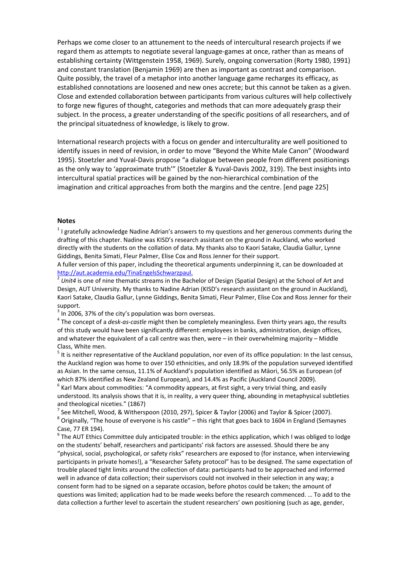Perhaps we come closer to an attunement to the needs of intercultural research projects if we regard them as attempts to negotiate several language‐games at once, rather than as means of establishing certainty (Wittgenstein 1958, 1969). Surely, ongoing conversation (Rorty 1980, 1991) and constant translation (Benjamin 1969) are then as important as contrast and comparison. Quite possibly, the travel of a metaphor into another language game recharges its efficacy, as established connotations are loosened and new ones accrete; but this cannot be taken as a given. Close and extended collaboration between participants from various cultures will help collectively to forge new figures of thought, categories and methods that can more adequately grasp their subject. In the process, a greater understanding of the specific positions of all researchers, and of the principal situatedness of knowledge, is likely to grow.

International research projects with a focus on gender and interculturality are well positioned to identify issues in need of revision, in order to move "Beyond the White Male Canon" (Woodward 1995). Stoetzler and Yuval‐Davis propose "a dialogue between people from different positionings as the only way to 'approximate truth'" (Stoetzler & Yuval‐Davis 2002, 319). The best insights into intercultural spatial practices will be gained by the non‐hierarchical combination of the imagination and critical approaches from both the margins and the centre. [end page 225]

#### **Notes**

 $1$  I gratefully acknowledge Nadine Adrian's answers to my questions and her generous comments during the drafting of this chapter. Nadine was KISD's research assistant on the ground in Auckland, who worked directly with the students on the collation of data. My thanks also to Kaori Satake, Claudia Gallur, Lynne Giddings, Benita Simati, Fleur Palmer, Elise Cox and Ross Jenner for their support.

A fuller version of this paper, including the theoretical arguments underpinning it, can be downloaded at http://aut.academia.edu/TinaEngelsSchwarzpaul.

<sup>2</sup> Unit4 is one of nine thematic streams in the Bachelor of Design (Spatial Design) at the School of Art and Design, AUT University. My thanks to Nadine Adrian (KISD's research assistant on the ground in Auckland), Kaori Satake, Claudia Gallur, Lynne Giddings, Benita Simati, Fleur Palmer, Elise Cox and Ross Jenner for their

support.<br><sup>3</sup> In 2006, 37% of the city's population was born overseas.<br><sup>4</sup> The concept of a *desk-as-castle* might then be completely meaningless. Even thirty years ago, the results of this study would have been significantly different: employees in banks, administration, design offices, and whatever the equivalent of a call centre was then, were – in their overwhelming majority – Middle

Class, White men.<br><sup>5</sup> It is neither representative of the Auckland population, nor even of its office population: In the last census, the Auckland region was home to over 150 ethnicities, and only 18.9% of the population surveyed identified as Asian. In the same census, 11.1% of Auckland's population identified as Māori, 56.5% as European (of which 87% identified as New Zealand European), and 14.4% as Pacific (Auckland Council 2009).<br><sup>6</sup> Karl Marx about commodities: "A commodity appears, at first sight, a very trivial thing, and easily

understood. Its analysis shows that it is, in reality, a very queer thing, abounding in metaphysical subtleties

and theological niceties." (1867)<br><sup>7</sup> See Mitchell, Wood, & Witherspoon (2010, 297), Spicer & Taylor (2006) and Taylor & Spicer (2007).<br><sup>8</sup> Originally, "The house of everyone is his castle" – this right that goes back to 1

Case, 77 ER 194).<br><sup>9</sup> The AUT Ethics Committee duly anticipated trouble: in the ethics application, which I was obliged to lodge on the students' behalf, researchers and participants' risk factors are assessed. Should there be any "physical, social, psychological, or safety risks" researchers are exposed to (for instance, when interviewing participants in private homes!), a "Researcher Safety protocol" has to be designed. The same expectation of trouble placed tight limits around the collection of data: participants had to be approached and informed well in advance of data collection; their supervisors could not involved in their selection in any way; a consent form had to be signed on a separate occasion, before photos could be taken; the amount of questions was limited; application had to be made weeks before the research commenced. … To add to the data collection a further level to ascertain the student researchers' own positioning (such as age, gender,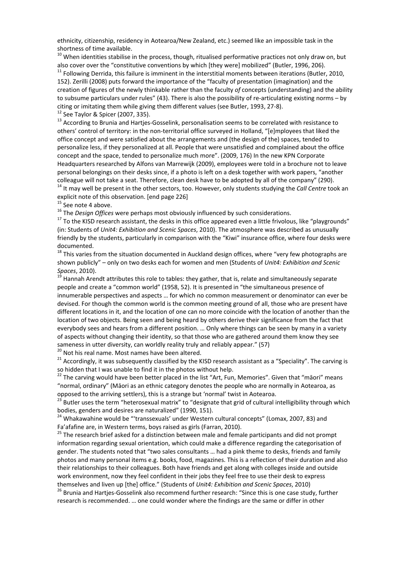ethnicity, citizenship, residency in Aotearoa/New Zealand, etc.) seemed like an impossible task in the

shortness of time available.<br><sup>10</sup> When identities stabilise in the process, though, ritualised performative practices not only draw on, but also cover over the "constitutive conventions by which [they were] mobilized" (But  $11$  Following Derrida, this failure is imminent in the interstitial moments between iterations (Butler, 2010, 152). Zerilli (2008) puts forward the importance of the "faculty of presentation (imagination) and the creation of figures of the newly thinkable rather than the faculty *of* concepts (understanding) and the ability to subsume particulars under rules" (43). There is also the possibility of re‐articulating existing norms – by citing or imitating them while giving them different values (see Butler, 1993, 27-8).<br><sup>12</sup> See Taylor & Spicer (2007, 335).<br><sup>13</sup> According to Brunia and Hartjes-Gosselink, personalisation seems to be correlated with resis

others' control of territory: in the non‐territorial office surveyed in Holland, "[e]mployees that liked the office concept and were satisfied about the arrangements and (the design of the) spaces, tended to personalize less, if they personalized at all. People that were unsatisfied and complained about the office concept and the space, tended to personalize much more". (2009, 176) In the new KPN Corporate Headquarters researched by Alfons van Marrewijk (2009), employees were told in a brochure not to leave personal belongings on their desks since, if a photo is left on a desk together with work papers, "another colleague will not take a seat. Therefore, clean desk have to be adopted by all of the company" (290).<br><sup>14</sup> It may well be present in the other sectors, too. However, only students studying the Call Centre took an

explicit note of this observation. [end page 226]<br><sup>15</sup> See note 4 above.<br><sup>16</sup> The *Design Offices* were perhaps most obviously influenced by such considerations.<br><sup>17</sup> To the KISD research assistant, the desks in this offic (in: Students of *Unit4: Exhibition and Scenic Spaces*, 2010). The atmosphere was described as unusually friendly by the students, particularly in comparison with the "Kiwi" insurance office, where four desks were documented.

 $^{18}$  This varies from the situation documented in Auckland design offices, where "very few photographs are shown publicly" – only on two desks each for women and men (Students of *Unit4: Exhibition and Scenic Spaces*, 2010).<br><sup>19</sup> Hannah Arendt attributes this role to tables: they gather, that is, relate and simultaneously separate

people and create a "common world" (1958, 52). It is presented in "the simultaneous presence of innumerable perspectives and aspects … for which no common measurement or denominator can ever be devised. For though the common world is the common meeting ground of all, those who are present have different locations in it, and the location of one can no more coincide with the location of another than the location of two objects. Being seen and being heard by others derive their significance from the fact that everybody sees and hears from a different position. … Only where things can be seen by many in a variety of aspects without changing their identity, so that those who are gathered around them know they see sameness in utter diversity, can worldly reality truly and reliably appear." (57)<br><sup>20</sup> Not his real name. Most names have been altered.<br><sup>21</sup> Accordingly, it was subsequently classified by the KISD research assistant as a

so hidden that I was unable to find it in the photos without help.<br><sup>22</sup> The carving would have been better placed in the list "Art, Fun, Memories". Given that "māori" means

"normal, ordinary" (Māori as an ethnic category denotes the people who are normally in Aotearoa, as opposed to the arriving settlers), this is a strange but 'normal' twist in Aotearoa.<br><sup>23</sup> Butler uses the term "heterosexual matrix" to "designate that grid of cultural intelligibility through which

bodies, genders and desires are naturalized" (1990, 151).<br><sup>24</sup> Whakawahine would be "'transsexuals' under Western cultural concepts" (Lomax, 2007, 83) and Fa'afafine are, in Western terms, boys raised as girls (Farran, 201

<sup>25</sup> The research brief asked for a distinction between male and female participants and did not prompt information regarding sexual orientation, which could make a difference regarding the categorisation of gender. The students noted that "two sales consultants … had a pink theme to desks, friends and family photos and many personal items e.g. books, food, magazines. This is a reflection of their duration and also their relationships to their colleagues. Both have friends and get along with colleges inside and outside work environment, now they feel confident in their jobs they feel free to use their desk to express themselves and liven up [the] office." (Students of Unit4: Exhibition and Scenic Spaces, 2010) <sup>26</sup> Brunia and Harties-Gosselink also recommend further research: "Since this is one case study, further

research is recommended. … one could wonder where the findings are the same or differ in other